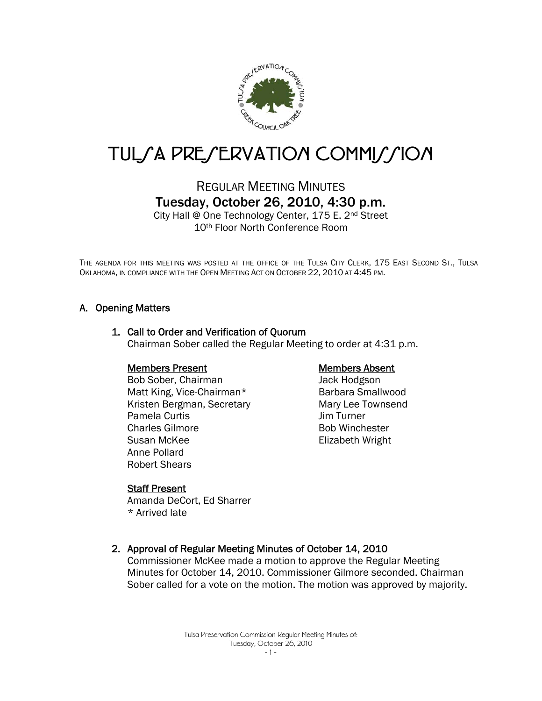

# TUL/A PRE/ERVATION COMMI//ION

## REGULAR MEETING MINUTES Tuesday, October 26, 2010, 4:30 p.m.

City Hall @ One Technology Center, 175 E. 2nd Street 10th Floor North Conference Room

THE AGENDA FOR THIS MEETING WAS POSTED AT THE OFFICE OF THE TULSA CITY CLERK, 175 EAST SECOND ST., TULSA OKLAHOMA, IN COMPLIANCE WITH THE OPEN MEETING ACT ON OCTOBER 22, 2010 AT 4:45 PM.

#### A. Opening Matters

#### 1. Call to Order and Verification of Quorum Chairman Sober called the Regular Meeting to order at 4:31 p.m.

#### Members Present

Bob Sober, Chairman Matt King, Vice-Chairman\* Kristen Bergman, Secretary Pamela Curtis Charles Gilmore Susan McKee Anne Pollard Robert Shears

#### Members Absent

Jack Hodgson Barbara Smallwood Mary Lee Townsend Jim Turner Bob Winchester Elizabeth Wright

#### Staff Present

Amanda DeCort, Ed Sharrer \* Arrived late

#### 2. Approval of Regular Meeting Minutes of October 14, 2010

Commissioner McKee made a motion to approve the Regular Meeting Minutes for October 14, 2010. Commissioner Gilmore seconded. Chairman Sober called for a vote on the motion. The motion was approved by majority.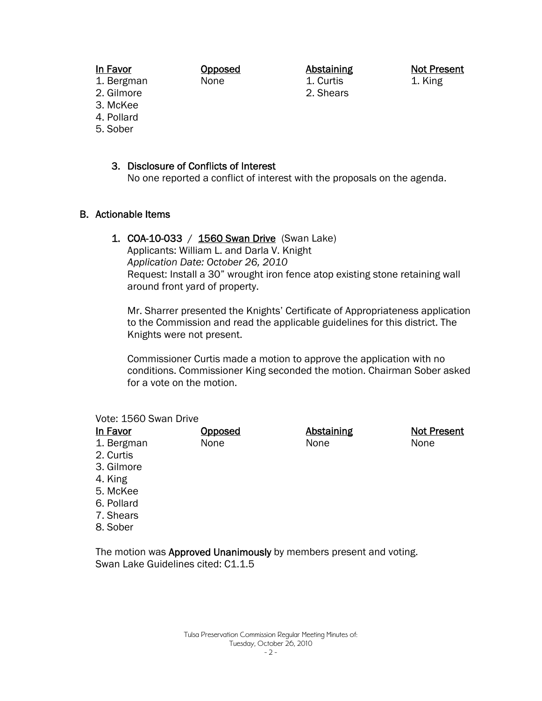#### In Favor

Opposed None

Abstaining 1. Curtis 2. Shears

Not Present 1. King

- 1. Bergman 2. Gilmore
- 3. McKee
- 4. Pollard
- 5. Sober

## 3. Disclosure of Conflicts of Interest

No one reported a conflict of interest with the proposals on the agenda.

## B. Actionable Items

## 1. COA-10-033 / 1560 Swan Drive (Swan Lake)

Applicants: William L. and Darla V. Knight *Application Date: October 26, 2010* Request: Install a 30" wrought iron fence atop existing stone retaining wall around front yard of property.

Mr. Sharrer presented the Knights' Certificate of Appropriateness application to the Commission and read the applicable guidelines for this district. The Knights were not present.

Commissioner Curtis made a motion to approve the application with no conditions. Commissioner King seconded the motion. Chairman Sober asked for a vote on the motion.

#### Vote: 1560 Swan Drive

| In Favor   | <b>Opposed</b> | <b>Abstaining</b> | <b>Not Present</b> |
|------------|----------------|-------------------|--------------------|
| 1. Bergman | None           | None              | None               |
| 2. Curtis  |                |                   |                    |
| 3. Gilmore |                |                   |                    |
| 4. King    |                |                   |                    |
| 5. McKee   |                |                   |                    |
| 6. Pollard |                |                   |                    |
| 7. Shears  |                |                   |                    |
| 8. Sober   |                |                   |                    |

The motion was Approved Unanimously by members present and voting. Swan Lake Guidelines cited: C1.1.5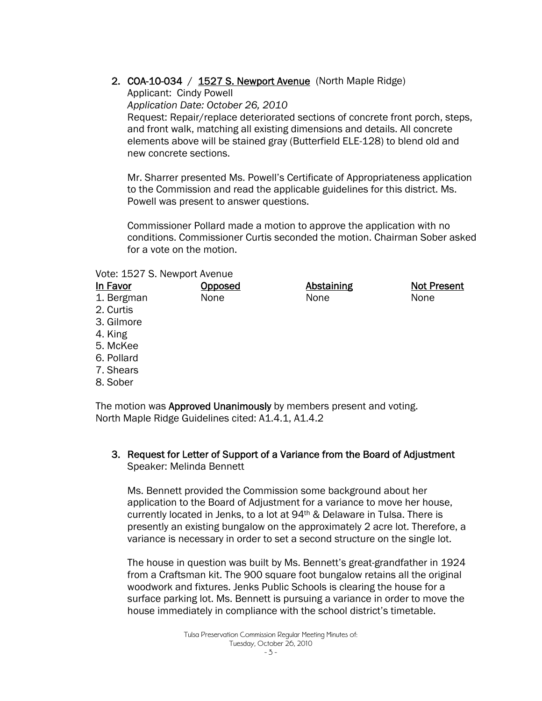## 2. COA-10-034 / 1527 S. Newport Avenue (North Maple Ridge)

Applicant: Cindy Powell *Application Date: October 26, 2010*  Request: Repair/replace deteriorated sections of concrete front porch, steps, and front walk, matching all existing dimensions and details. All concrete elements above will be stained gray (Butterfield ELE-128) to blend old and new concrete sections.

Mr. Sharrer presented Ms. Powell's Certificate of Appropriateness application to the Commission and read the applicable guidelines for this district. Ms. Powell was present to answer questions.

Commissioner Pollard made a motion to approve the application with no conditions. Commissioner Curtis seconded the motion. Chairman Sober asked for a vote on the motion.

#### Vote: 1527 S. Newport Avenue

| In Favor   | Opposed | <b>Abstaining</b> | <b>Not Present</b> |
|------------|---------|-------------------|--------------------|
| 1. Bergman | None    | None              | None               |
| 2. Curtis  |         |                   |                    |
| 3. Gilmore |         |                   |                    |
| 4. King    |         |                   |                    |
| 5. McKee   |         |                   |                    |
| 6. Pollard |         |                   |                    |
| 7. Shears  |         |                   |                    |
| 8. Sober   |         |                   |                    |
|            |         |                   |                    |

The motion was **Approved Unanimously** by members present and voting. North Maple Ridge Guidelines cited: A1.4.1, A1.4.2

#### 3. Request for Letter of Support of a Variance from the Board of Adjustment Speaker: Melinda Bennett

Ms. Bennett provided the Commission some background about her application to the Board of Adjustment for a variance to move her house, currently located in Jenks, to a lot at 94th & Delaware in Tulsa. There is presently an existing bungalow on the approximately 2 acre lot. Therefore, a variance is necessary in order to set a second structure on the single lot.

The house in question was built by Ms. Bennett's great-grandfather in 1924 from a Craftsman kit. The 900 square foot bungalow retains all the original woodwork and fixtures. Jenks Public Schools is clearing the house for a surface parking lot. Ms. Bennett is pursuing a variance in order to move the house immediately in compliance with the school district's timetable.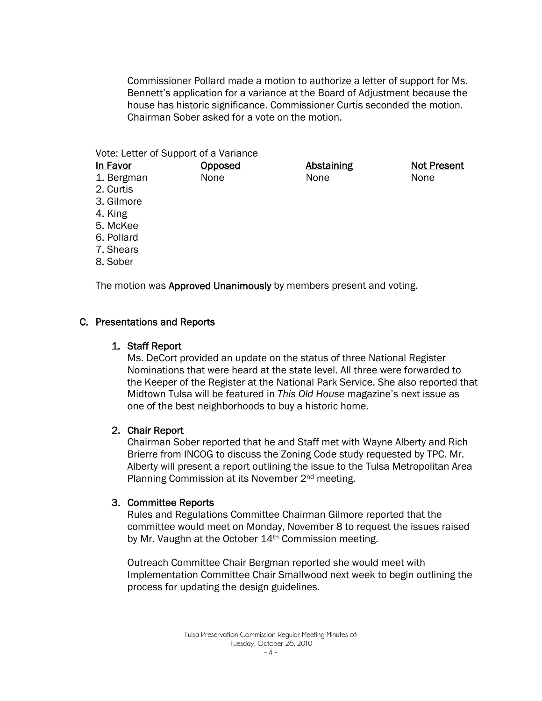Commissioner Pollard made a motion to authorize a letter of support for Ms. Bennett's application for a variance at the Board of Adjustment because the house has historic significance. Commissioner Curtis seconded the motion. Chairman Sober asked for a vote on the motion.

> Abstaining None

Not Present

None

Vote: Letter of Support of a Variance

**Opposed** None

In Favor 1. Bergman

- 2. Curtis
- 3. Gilmore
- 4. King
- 5. McKee
- 6. Pollard
- 7. Shears
- 8. Sober

The motion was **Approved Unanimously** by members present and voting.

## C. Presentations and Reports

## 1. Staff Report

Ms. DeCort provided an update on the status of three National Register Nominations that were heard at the state level. All three were forwarded to the Keeper of the Register at the National Park Service. She also reported that Midtown Tulsa will be featured in *This Old House* magazine's next issue as one of the best neighborhoods to buy a historic home.

## 2. Chair Report

Chairman Sober reported that he and Staff met with Wayne Alberty and Rich Brierre from INCOG to discuss the Zoning Code study requested by TPC. Mr. Alberty will present a report outlining the issue to the Tulsa Metropolitan Area Planning Commission at its November 2nd meeting.

## 3. Committee Reports

Rules and Regulations Committee Chairman Gilmore reported that the committee would meet on Monday, November 8 to request the issues raised by Mr. Vaughn at the October 14th Commission meeting.

Outreach Committee Chair Bergman reported she would meet with Implementation Committee Chair Smallwood next week to begin outlining the process for updating the design guidelines.